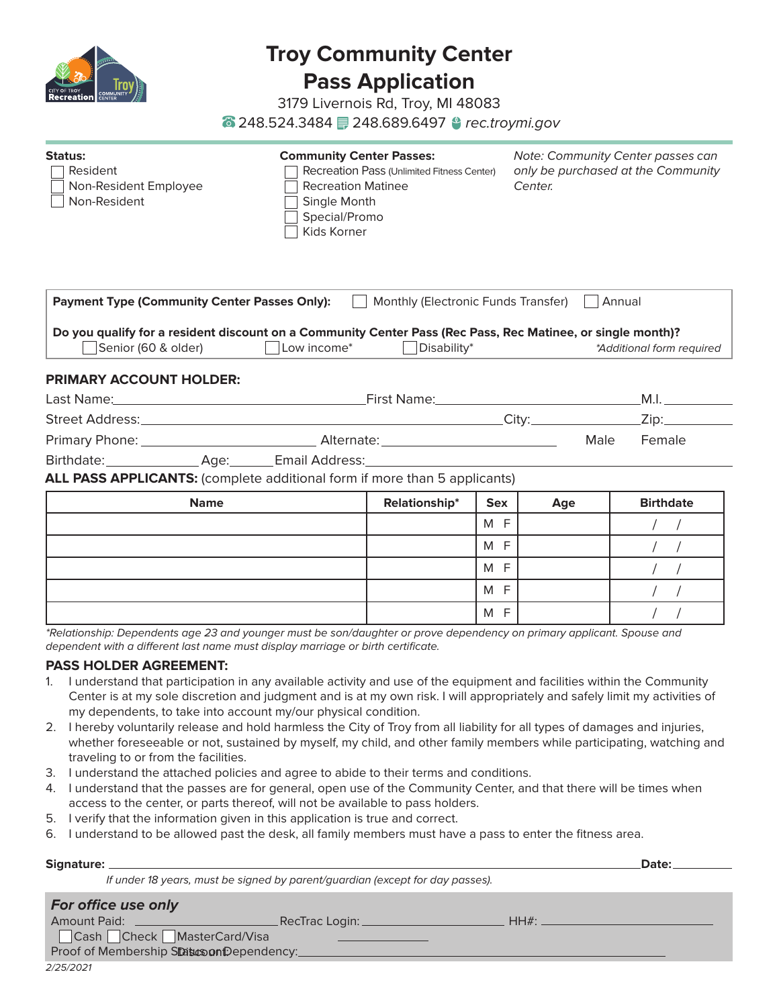

# **Troy Community Center Pass Application**

3179 Livernois Rd, Troy, MI 48083

248.524.3484 248.689.6497 *rec.troymi.gov*

| <b>Status:</b><br>Resident<br>Non-Resident Employee<br>Non-Resident | <b>Community Center Passes:</b><br>Recreation Pass (Unlimited Fitness Center)<br><b>Recreation Matinee</b><br>Single Month<br>Special/Promo<br>Kids Korner | <b>Note: Community Center passes can</b><br>only be purchased at the Community<br>Center. |
|---------------------------------------------------------------------|------------------------------------------------------------------------------------------------------------------------------------------------------------|-------------------------------------------------------------------------------------------|
| <b>Payment Type (Community Center Passes Only):</b>                 | Monthly (Electronic Funds Transfer)                                                                                                                        | Annual                                                                                    |

**Do you qualify for a resident discount on a Community Center Pass (Rec Pass, Rec Matinee, or single month)?** Senior (60 & older) Low income\* Disability\* *\*Additional form required*

# **PRIMARY ACCOUNT HOLDER:**

| Last Name:      |      | First Name:     |                   |      | M.     |  |
|-----------------|------|-----------------|-------------------|------|--------|--|
| Street Address: |      |                 | City <sup>.</sup> |      | Zin:   |  |
| Primary Phone:  |      | Alternate:      |                   | Male | Female |  |
| Birthdate:      | Age: | Email Address:_ |                   |      |        |  |

**ALL PASS APPLICANTS:** (complete additional form if more than 5 applicants)

| <b>Name</b> | <b>Relationship*</b> | <b>Sex</b> | Age | <b>Birthdate</b> |
|-------------|----------------------|------------|-----|------------------|
|             |                      | F<br>M     |     |                  |
|             |                      | F<br>M     |     |                  |
|             |                      | F<br>M     |     |                  |
|             |                      | F<br>M     |     |                  |
|             |                      | F<br>M     |     |                  |

*\*Relationship: Dependents age 23 and younger must be son/daughter or prove dependency on primary applicant. Spouse and dependent with a different last name must display marriage or birth certificate.*

## **PASS HOLDER AGREEMENT:**

- 1. I understand that participation in any available activity and use of the equipment and facilities within the Community Center is at my sole discretion and judgment and is at my own risk. I will appropriately and safely limit my activities of my dependents, to take into account my/our physical condition.
- 2. I hereby voluntarily release and hold harmless the City of Troy from all liability for all types of damages and injuries, whether foreseeable or not, sustained by myself, my child, and other family members while participating, watching and traveling to or from the facilities.
- 3. I understand the attached policies and agree to abide to their terms and conditions.
- 4. I understand that the passes are for general, open use of the Community Center, and that there will be times when access to the center, or parts thereof, will not be available to pass holders.
- 5. I verify that the information given in this application is true and correct.
- 6. I understand to be allowed past the desk, all family members must have a pass to enter the fitness area.

| Signature:                 |                                                                               | Date: |
|----------------------------|-------------------------------------------------------------------------------|-------|
|                            | If under 18 years, must be signed by parent/guardian (except for day passes). |       |
| For office use only        |                                                                               |       |
| Amount Paid: _______       | . RecTrac Login: ___                                                          | HH#   |
| Cash Check MasterCard/Visa |                                                                               |       |

Proof of Membership Status on Dependency: